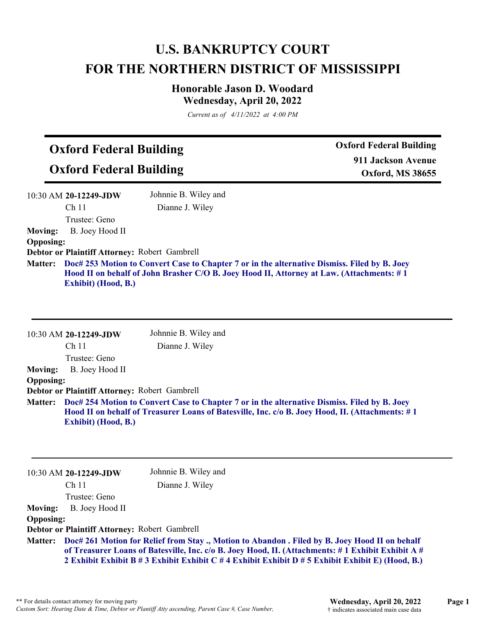## **U.S. BANKRUPTCY COURT FOR THE NORTHERN DISTRICT OF MISSISSIPPI**

### **Honorable Jason D. Woodard Wednesday, April 20, 2022**

*Current as of 4/11/2022 at 4:00 PM*

# **Oxford Federal Building**

**Oxford Federal Building**

**Oxford Federal Building 911 Jackson Avenue Oxford, MS 38655**

|                  | 10:30 AM 20-12249-JDW                         | Johnnie B. Wiley and                                                                                                                                                                     |
|------------------|-----------------------------------------------|------------------------------------------------------------------------------------------------------------------------------------------------------------------------------------------|
|                  | Ch <sub>11</sub>                              | Dianne J. Wiley                                                                                                                                                                          |
|                  | Trustee: Geno                                 |                                                                                                                                                                                          |
| <b>Moving:</b>   | B. Joey Hood II                               |                                                                                                                                                                                          |
| <b>Opposing:</b> |                                               |                                                                                                                                                                                          |
|                  | Debtor or Plaintiff Attorney: Robert Gambrell |                                                                                                                                                                                          |
| <b>Matter:</b>   | <b>Exhibit</b> ) (Hood, B.)                   | Doc# 253 Motion to Convert Case to Chapter 7 or in the alternative Dismiss. Filed by B. Joey<br>Hood II on behalf of John Brasher C/O B. Joey Hood II, Attorney at Law. (Attachments: #1 |

|                  | $10:30$ AM 20-12249-JDW                       | Johnnie B. Wiley and                                                                                                                                                                             |
|------------------|-----------------------------------------------|--------------------------------------------------------------------------------------------------------------------------------------------------------------------------------------------------|
|                  | Ch <sub>11</sub>                              | Dianne J. Wiley                                                                                                                                                                                  |
|                  | Trustee: Geno                                 |                                                                                                                                                                                                  |
| <b>Moving:</b>   | B. Joey Hood II                               |                                                                                                                                                                                                  |
| <b>Opposing:</b> |                                               |                                                                                                                                                                                                  |
|                  | Debtor or Plaintiff Attorney: Robert Gambrell |                                                                                                                                                                                                  |
| <b>Matter:</b>   | Exhibit) (Hood, B.)                           | Doc# 254 Motion to Convert Case to Chapter 7 or in the alternative Dismiss. Filed by B. Joey<br>Hood II on behalf of Treasurer Loans of Batesville, Inc. c/o B. Joey Hood, II. (Attachments: #1) |
|                  |                                               |                                                                                                                                                                                                  |

|                  | 10:30 AM 20-12249-JDW                         | Johnnie B. Wiley and                                                                                                                                                                                                                                                                                           |
|------------------|-----------------------------------------------|----------------------------------------------------------------------------------------------------------------------------------------------------------------------------------------------------------------------------------------------------------------------------------------------------------------|
|                  | Ch <sub>11</sub>                              | Dianne J. Wiley                                                                                                                                                                                                                                                                                                |
|                  | Trustee: Geno                                 |                                                                                                                                                                                                                                                                                                                |
| <b>Moving:</b>   | B. Joey Hood II                               |                                                                                                                                                                                                                                                                                                                |
| <b>Opposing:</b> |                                               |                                                                                                                                                                                                                                                                                                                |
|                  | Debtor or Plaintiff Attorney: Robert Gambrell |                                                                                                                                                                                                                                                                                                                |
|                  |                                               | Matter: Doc# 261 Motion for Relief from Stay., Motion to Abandon. Filed by B. Joey Hood II on behalf<br>of Treasurer Loans of Batesville, Inc. c/o B. Joey Hood, II. (Attachments: #1 Exhibit Exhibit A #<br>2 Exhibit Exhibit B # 3 Exhibit Exhibit C # 4 Exhibit Exhibit D # 5 Exhibit Exhibit E) (Hood, B.) |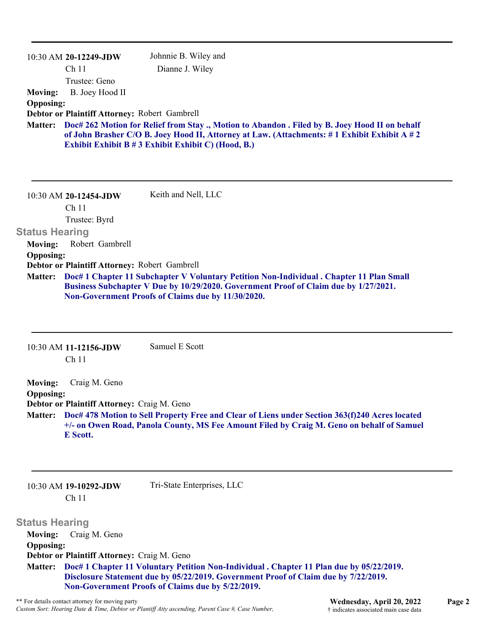| Ch <sub>11</sub><br>Dianne J. Wiley<br>Trustee: Geno<br>B. Joey Hood II<br>Doc# 262 Motion for Relief from Stay ., Motion to Abandon . Filed by B. Joey Hood II on behalf<br>of John Brasher C/O B. Joey Hood II, Attorney at Law. (Attachments: #1 Exhibit Exhibit A #2<br>Exhibit Exhibit B # 3 Exhibit Exhibit C) (Hood, B.)<br>Keith and Nell, LLC<br>10:30 AM 20-12454-JDW<br>Ch <sub>11</sub><br>Trustee: Byrd<br>Robert Gambrell<br>Doc# 1 Chapter 11 Subchapter V Voluntary Petition Non-Individual . Chapter 11 Plan Small<br>Business Subchapter V Due by 10/29/2020. Government Proof of Claim due by 1/27/2021.<br>Non-Government Proofs of Claims due by 11/30/2020.<br>Samuel E Scott<br>10:30 AM 11-12156-JDW<br>Ch <sub>11</sub><br>Craig M. Geno |                | 10:30 AM 20-12249-JDW | Johnnie B. Wiley and |
|-------------------------------------------------------------------------------------------------------------------------------------------------------------------------------------------------------------------------------------------------------------------------------------------------------------------------------------------------------------------------------------------------------------------------------------------------------------------------------------------------------------------------------------------------------------------------------------------------------------------------------------------------------------------------------------------------------------------------------------------------------------------|----------------|-----------------------|----------------------|
| <b>Opposing:</b><br>Debtor or Plaintiff Attorney: Robert Gambrell<br><b>Matter:</b><br><b>Status Hearing</b><br><b>Opposing:</b><br>Debtor or Plaintiff Attorney: Robert Gambrell<br><b>Moving:</b><br><b>Opposing:</b>                                                                                                                                                                                                                                                                                                                                                                                                                                                                                                                                           |                |                       |                      |
|                                                                                                                                                                                                                                                                                                                                                                                                                                                                                                                                                                                                                                                                                                                                                                   |                |                       |                      |
|                                                                                                                                                                                                                                                                                                                                                                                                                                                                                                                                                                                                                                                                                                                                                                   | <b>Moving:</b> |                       |                      |
|                                                                                                                                                                                                                                                                                                                                                                                                                                                                                                                                                                                                                                                                                                                                                                   |                |                       |                      |
|                                                                                                                                                                                                                                                                                                                                                                                                                                                                                                                                                                                                                                                                                                                                                                   |                |                       |                      |
|                                                                                                                                                                                                                                                                                                                                                                                                                                                                                                                                                                                                                                                                                                                                                                   |                |                       |                      |
|                                                                                                                                                                                                                                                                                                                                                                                                                                                                                                                                                                                                                                                                                                                                                                   |                |                       |                      |
|                                                                                                                                                                                                                                                                                                                                                                                                                                                                                                                                                                                                                                                                                                                                                                   |                |                       |                      |
|                                                                                                                                                                                                                                                                                                                                                                                                                                                                                                                                                                                                                                                                                                                                                                   |                |                       |                      |
|                                                                                                                                                                                                                                                                                                                                                                                                                                                                                                                                                                                                                                                                                                                                                                   | <b>Moving:</b> |                       |                      |
|                                                                                                                                                                                                                                                                                                                                                                                                                                                                                                                                                                                                                                                                                                                                                                   |                |                       |                      |
|                                                                                                                                                                                                                                                                                                                                                                                                                                                                                                                                                                                                                                                                                                                                                                   | <b>Matter:</b> |                       |                      |
|                                                                                                                                                                                                                                                                                                                                                                                                                                                                                                                                                                                                                                                                                                                                                                   |                |                       |                      |
|                                                                                                                                                                                                                                                                                                                                                                                                                                                                                                                                                                                                                                                                                                                                                                   |                |                       |                      |
|                                                                                                                                                                                                                                                                                                                                                                                                                                                                                                                                                                                                                                                                                                                                                                   |                |                       |                      |

**Doc# 478 Motion to Sell Property Free and Clear of Liens under Section 363(f)240 Acres located Matter: +/- on Owen Road, Panola County, MS Fee Amount Filed by Craig M. Geno on behalf of Samuel E Scott.**

| $10:30$ AM 19-10292-JDW |
|-------------------------|
| Ch <sub>11</sub>        |

Tri-State Enterprises, LLC

**Status Hearing Moving:** Craig M. Geno **Opposing: Debtor or Plaintiff Attorney:** Craig M. Geno **Doc# 1 Chapter 11 Voluntary Petition Non-Individual . Chapter 11 Plan due by 05/22/2019. Disclosure Statement due by 05/22/2019. Government Proof of Claim due by 7/22/2019. Non-Government Proofs of Claims due by 5/22/2019. Matter:**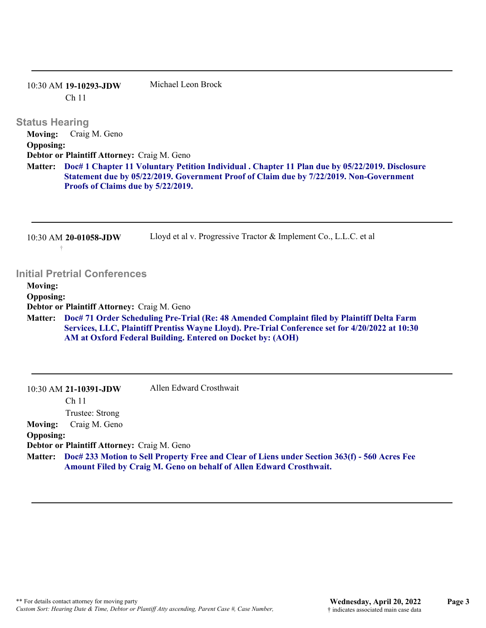| $10:30$ AM 19-10293-JDW | Michael Leon Brock |  |
|-------------------------|--------------------|--|
| Ch <sub>11</sub>        |                    |  |

#### **Status Hearing**

**Moving:** Craig M. Geno **Opposing: Debtor or Plaintiff Attorney:** Craig M. Geno **Doc# 1 Chapter 11 Voluntary Petition Individual . Chapter 11 Plan due by 05/22/2019. Disclosure Matter: Statement due by 05/22/2019. Government Proof of Claim due by 7/22/2019. Non-Government Proofs of Claims due by 5/22/2019.**

| 10:30 AM 20-01058-JDW | Lloyd et al v. Progressive Tractor & Implement Co., L.L.C. et al |
|-----------------------|------------------------------------------------------------------|
|                       |                                                                  |

### **Initial Pretrial Conferences**

**Moving:**

**Opposing:**

**Debtor or Plaintiff Attorney:** Craig M. Geno

**Doc# 71 Order Scheduling Pre-Trial (Re: 48 Amended Complaint filed by Plaintiff Delta Farm Services, LLC, Plaintiff Prentiss Wayne Lloyd). Pre-Trial Conference set for 4/20/2022 at 10:30 AM at Oxford Federal Building. Entered on Docket by: (AOH) Matter:**

| 10:30 AM 21-10391-JDW                       | Allen Edward Crosthwait |  |
|---------------------------------------------|-------------------------|--|
| Ch <sub>11</sub>                            |                         |  |
| Trustee: Strong                             |                         |  |
| Craig M. Geno<br>Moving:                    |                         |  |
| <b>Opposing:</b>                            |                         |  |
| Debtor or Plaintiff Attorney: Craig M. Geno |                         |  |

**Doc# 233 Motion to Sell Property Free and Clear of Liens under Section 363(f) - 560 Acres Fee Matter: Amount Filed by Craig M. Geno on behalf of Allen Edward Crosthwait.**